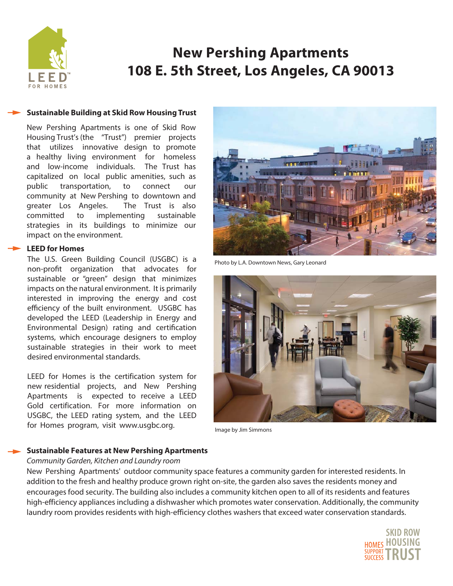

# **New Pershing Apartments** 108 E. 5th Street, Los Angeles, CA 90013

### **Sustainable Building at Skid Row Housing Trust**

New Pershing Apartments is one of Skid Row Housing Trust's (the "Trust") premier projects that utilizes innovative design to promote a healthy living environment for homeless and low-income individuals. The Trust has capitalized on local public amenities, such as transportation, public to connect  $_{OIII}$ community at New Pershing to downtown and greater Los Angeles. The Trust is also committed to implementing sustainable strategies in its buildings to minimize our impact on the environment.

## **LEED for Homes**

The U.S. Green Building Council (USGBC) is a non-profit organization that advocates for sustainable or "green" design that minimizes impacts on the natural environment. It is primarily interested in improving the energy and cost efficiency of the built environment. USGBC has developed the LEED (Leadership in Energy and Environmental Design) rating and certification systems, which encourage designers to employ sustainable strategies in their work to meet desired environmental standards.

LEED for Homes is the certification system for new residential projects, and New Pershing Apartments is expected to receive a LEED Gold certification. For more information on USGBC, the LEED rating system, and the LEED for Homes program, visit www.usgbc.org.



Photo by L.A. Downtown News, Gary Leonard



Image by Jim Simmons

### **Sustainable Features at New Pershing Apartments**

### Community Garden, Kitchen and Laundry room

New Pershing Apartments' outdoor community space features a community garden for interested residents. In addition to the fresh and healthy produce grown right on-site, the garden also saves the residents money and encourages food security. The building also includes a community kitchen open to all of its residents and features high-efficiency appliances including a dishwasher which promotes water conservation. Additionally, the community laundry room provides residents with high-efficiency clothes washers that exceed water conservation standards.